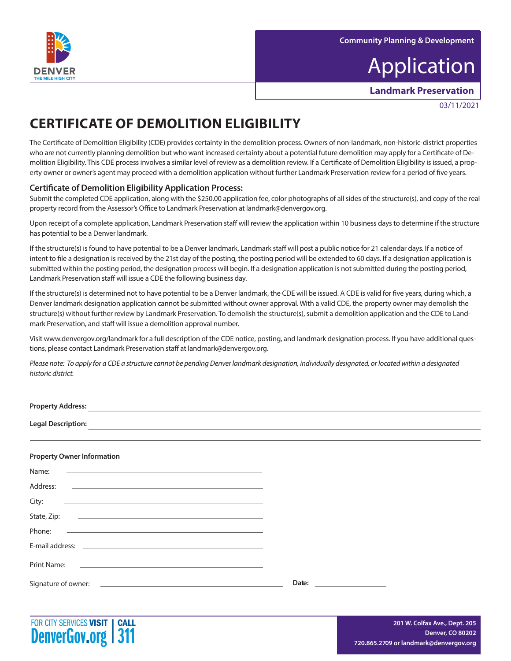

# Application

**Landmark Preservation**

03/11/2021

## **CERTIFICATE OF DEMOLITION ELIGIBILITY**

The Certificate of Demolition Eligibility (CDE) provides certainty in the demolition process. Owners of non-landmark, non-historic-district properties who are not currently planning demolition but who want increased certainty about a potential future demolition may apply for a Certificate of Demolition Eligibility. This CDE process involves a similar level of review as a demolition review. If a Certificate of Demolition Eligibility is issued, a property owner or owner's agent may proceed with a demolition application without further Landmark Preservation review for a period of five years.

### **Certificate of Demolition Eligibility Application Process:**

Submit the completed CDE application, along with the \$250.00 application fee, color photographs of all sides of the structure(s), and copy of the real property record from the Assessor's Office to Landmark Preservation at landmark@denvergov.org.

Upon receipt of a complete application, Landmark Preservation staff will review the application within 10 business days to determine if the structure has potential to be a Denver landmark.

If the structure(s) is found to have potential to be a Denver landmark, Landmark staff will post a public notice for 21 calendar days. If a notice of intent to file a designation is received by the 21st day of the posting, the posting period will be extended to 60 days. If a designation application is submitted within the posting period, the designation process will begin. If a designation application is not submitted during the posting period, Landmark Preservation staff will issue a CDE the following business day.

If the structure(s) is determined not to have potential to be a Denver landmark, the CDE will be issued. A CDE is valid for five years, during which, a Denver landmark designation application cannot be submitted without owner approval. With a valid CDE, the property owner may demolish the structure(s) without further review by Landmark Preservation. To demolish the structure(s), submit a demolition application and the CDE to Landmark Preservation, and staff will issue a demolition approval number.

Visit www.denvergov.org/landmark for a full description of the CDE notice, posting, and landmark designation process. If you have additional questions, please contact Landmark Preservation staff at landmark@denvergov.org.

Please note: To apply for a CDE a structure cannot be pending Denver landmark designation, individually designated, or located within a designated *historic district.*

| <b>Property Address:</b>                                                                                                                                                                                                                      |                                                                                                                       |
|-----------------------------------------------------------------------------------------------------------------------------------------------------------------------------------------------------------------------------------------------|-----------------------------------------------------------------------------------------------------------------------|
| <b>Legal Description:</b>                                                                                                                                                                                                                     | <u> 1989 - Johann Stein, markin film ar yn y brenin y brenin y brenin y brenin y brenin y brenin y brenin y breni</u> |
|                                                                                                                                                                                                                                               |                                                                                                                       |
| <b>Property Owner Information</b>                                                                                                                                                                                                             |                                                                                                                       |
| Name:<br><u> The Communication of the Communication of the Communication of the Communication of the Communication of the Communication of the Communication of the Communication of the Communication of the Communication of the Commun</u> |                                                                                                                       |
| Address:<br><u> 1980 - John Stone, Amerikaansk politiker (* 1918)</u>                                                                                                                                                                         |                                                                                                                       |
| City:                                                                                                                                                                                                                                         |                                                                                                                       |
| State, Zip:<br><u> 1989 - Andrea Santa Andrea Andrea Andrea Andrea Andrea Andrea Andrea Andrea Andrea Andrea Andrea Andrea Andr</u>                                                                                                           |                                                                                                                       |
| Phone:<br>the control of the control of the control of the control of the control of the control of the control of the control of the control of the control of the control of the control of the control of the control of the control       |                                                                                                                       |
| F-mail address:                                                                                                                                                                                                                               |                                                                                                                       |

Signature of owner: **Date:**



Print Name: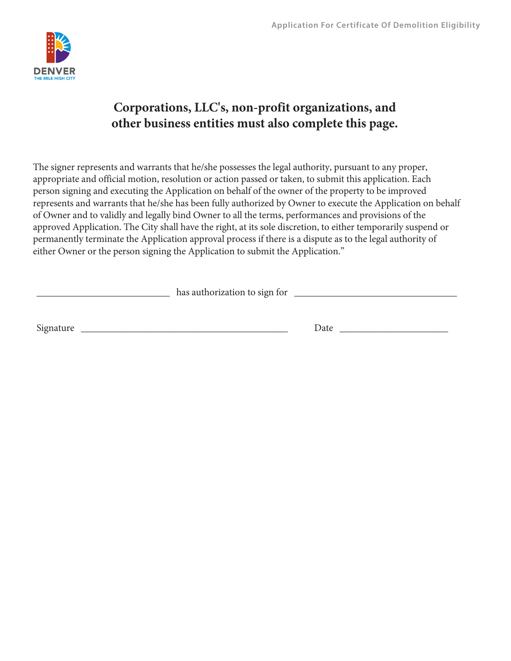

### **Corporations, LLC's, non-profit organizations, and other business entities must also complete this page.**

The signer represents and warrants that he/she possesses the legal authority, pursuant to any proper, appropriate and official motion, resolution or action passed or taken, to submit this application. Each person signing and executing the Application on behalf of the owner of the property to be improved represents and warrants that he/she has been fully authorized by Owner to execute the Application on behalf of Owner and to validly and legally bind Owner to all the terms, performances and provisions of the approved Application. The City shall have the right, at its sole discretion, to either temporarily suspend or permanently terminate the Application approval process if there is a dispute as to the legal authority of either Owner or the person signing the Application to submit the Application."

|           | has authorization to sign for |      |  |
|-----------|-------------------------------|------|--|
|           |                               |      |  |
| Signature |                               | Date |  |